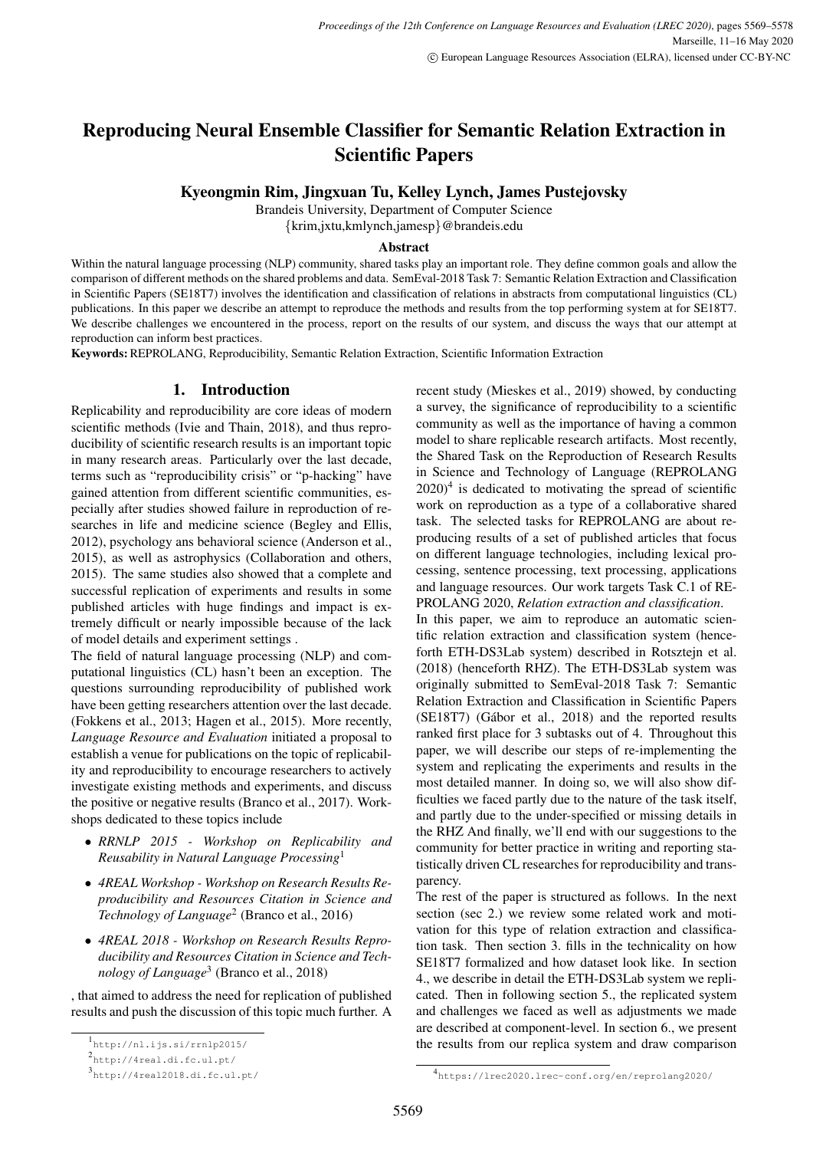# Reproducing Neural Ensemble Classifier for Semantic Relation Extraction in Scientific Papers

Kyeongmin Rim, Jingxuan Tu, Kelley Lynch, James Pustejovsky

Brandeis University, Department of Computer Science

{krim,jxtu,kmlynch,jamesp}@brandeis.edu

#### Abstract

Within the natural language processing (NLP) community, shared tasks play an important role. They define common goals and allow the comparison of different methods on the shared problems and data. SemEval-2018 Task 7: Semantic Relation Extraction and Classification in Scientific Papers (SE18T7) involves the identification and classification of relations in abstracts from computational linguistics (CL) publications. In this paper we describe an attempt to reproduce the methods and results from the top performing system at for SE18T7. We describe challenges we encountered in the process, report on the results of our system, and discuss the ways that our attempt at reproduction can inform best practices.

Keywords:REPROLANG, Reproducibility, Semantic Relation Extraction, Scientific Information Extraction

## 1. Introduction

Replicability and reproducibility are core ideas of modern scientific methods (Ivie and Thain, 2018), and thus reproducibility of scientific research results is an important topic in many research areas. Particularly over the last decade, terms such as "reproducibility crisis" or "p-hacking" have gained attention from different scientific communities, especially after studies showed failure in reproduction of researches in life and medicine science (Begley and Ellis, 2012), psychology ans behavioral science (Anderson et al., 2015), as well as astrophysics (Collaboration and others, 2015). The same studies also showed that a complete and successful replication of experiments and results in some published articles with huge findings and impact is extremely difficult or nearly impossible because of the lack of model details and experiment settings .

The field of natural language processing (NLP) and computational linguistics (CL) hasn't been an exception. The questions surrounding reproducibility of published work have been getting researchers attention over the last decade. (Fokkens et al., 2013; Hagen et al., 2015). More recently, *Language Resource and Evaluation* initiated a proposal to establish a venue for publications on the topic of replicability and reproducibility to encourage researchers to actively investigate existing methods and experiments, and discuss the positive or negative results (Branco et al., 2017). Workshops dedicated to these topics include

- *RRNLP 2015 Workshop on Replicability and Reusability in Natural Language Processing*<sup>1</sup>
- *4REAL Workshop Workshop on Research Results Reproducibility and Resources Citation in Science and Technology of Language*<sup>2</sup> (Branco et al., 2016)
- *4REAL 2018 Workshop on Research Results Reproducibility and Resources Citation in Science and Technology of Language*<sup>3</sup> (Branco et al., 2018)

, that aimed to address the need for replication of published results and push the discussion of this topic much further. A recent study (Mieskes et al., 2019) showed, by conducting a survey, the significance of reproducibility to a scientific community as well as the importance of having a common model to share replicable research artifacts. Most recently, the Shared Task on the Reproduction of Research Results in Science and Technology of Language (REPROLANG  $2020$ <sup>4</sup> is dedicated to motivating the spread of scientific work on reproduction as a type of a collaborative shared task. The selected tasks for REPROLANG are about reproducing results of a set of published articles that focus on different language technologies, including lexical processing, sentence processing, text processing, applications and language resources. Our work targets Task C.1 of RE-PROLANG 2020, *Relation extraction and classification*.

In this paper, we aim to reproduce an automatic scientific relation extraction and classification system (henceforth ETH-DS3Lab system) described in Rotsztejn et al. (2018) (henceforth RHZ). The ETH-DS3Lab system was originally submitted to SemEval-2018 Task 7: Semantic Relation Extraction and Classification in Scientific Papers (SE18T7) (Gábor et al., 2018) and the reported results ranked first place for 3 subtasks out of 4. Throughout this paper, we will describe our steps of re-implementing the system and replicating the experiments and results in the most detailed manner. In doing so, we will also show difficulties we faced partly due to the nature of the task itself, and partly due to the under-specified or missing details in the RHZ And finally, we'll end with our suggestions to the community for better practice in writing and reporting statistically driven CL researches for reproducibility and transparency.

The rest of the paper is structured as follows. In the next section (sec 2.) we review some related work and motivation for this type of relation extraction and classification task. Then section 3. fills in the technicality on how SE18T7 formalized and how dataset look like. In section 4., we describe in detail the ETH-DS3Lab system we replicated. Then in following section 5., the replicated system and challenges we faced as well as adjustments we made are described at component-level. In section 6., we present the results from our replica system and draw comparison

<sup>1</sup> http://nl.ijs.si/rrnlp2015/

<sup>2&</sup>lt;br>http://4real.di.fc.ul.pt/

<sup>3</sup> http://4real2018.di.fc.ul.pt/

<sup>4</sup> https://lrec2020.lrec-conf.org/en/reprolang2020/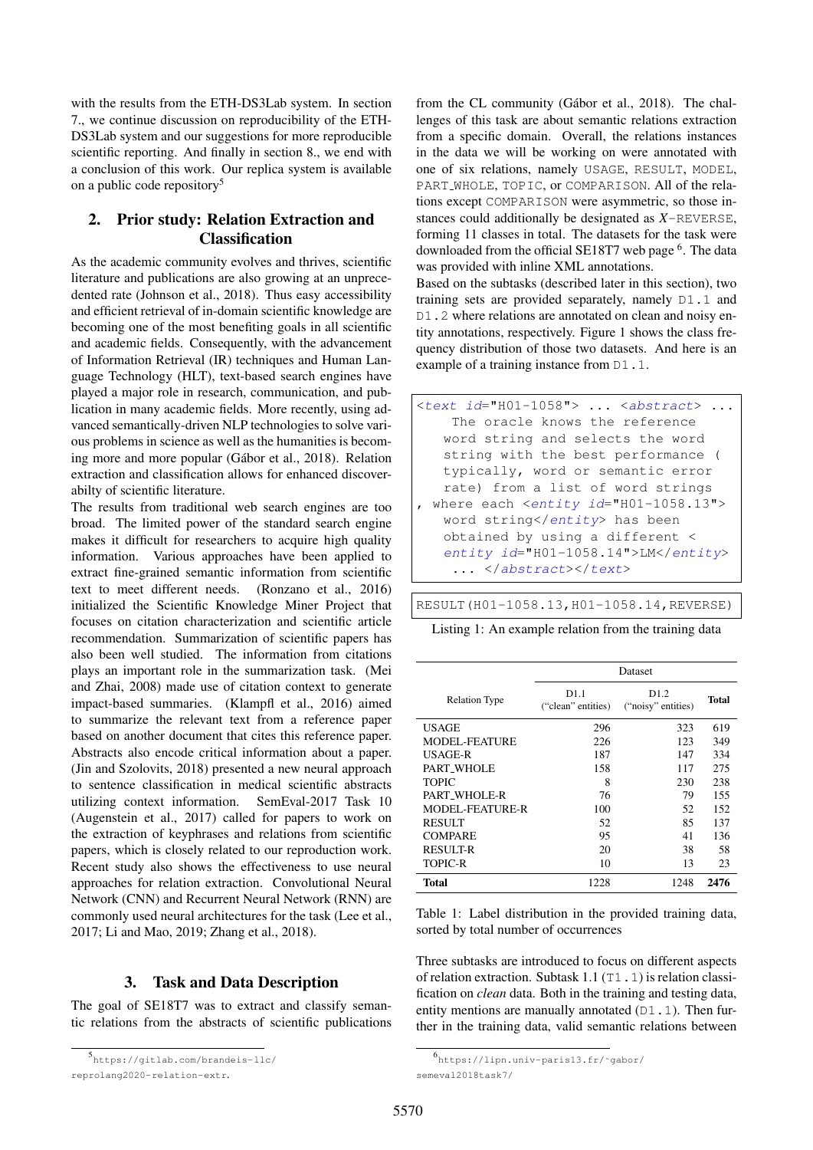with the results from the ETH-DS3Lab system. In section 7., we continue discussion on reproducibility of the ETH-DS3Lab system and our suggestions for more reproducible scientific reporting. And finally in section 8., we end with a conclusion of this work. Our replica system is available on a public code repository<sup>5</sup>

# 2. Prior study: Relation Extraction and Classification

As the academic community evolves and thrives, scientific literature and publications are also growing at an unprecedented rate (Johnson et al., 2018). Thus easy accessibility and efficient retrieval of in-domain scientific knowledge are becoming one of the most benefiting goals in all scientific and academic fields. Consequently, with the advancement of Information Retrieval (IR) techniques and Human Language Technology (HLT), text-based search engines have played a major role in research, communication, and publication in many academic fields. More recently, using advanced semantically-driven NLP technologies to solve various problems in science as well as the humanities is becoming more and more popular (Gábor et al., 2018). Relation extraction and classification allows for enhanced discoverabilty of scientific literature.

The results from traditional web search engines are too broad. The limited power of the standard search engine makes it difficult for researchers to acquire high quality information. Various approaches have been applied to extract fine-grained semantic information from scientific text to meet different needs. (Ronzano et al., 2016) initialized the Scientific Knowledge Miner Project that focuses on citation characterization and scientific article recommendation. Summarization of scientific papers has also been well studied. The information from citations plays an important role in the summarization task. (Mei and Zhai, 2008) made use of citation context to generate impact-based summaries. (Klampfl et al., 2016) aimed to summarize the relevant text from a reference paper based on another document that cites this reference paper. Abstracts also encode critical information about a paper. (Jin and Szolovits, 2018) presented a new neural approach to sentence classification in medical scientific abstracts utilizing context information. SemEval-2017 Task 10 (Augenstein et al., 2017) called for papers to work on the extraction of keyphrases and relations from scientific papers, which is closely related to our reproduction work. Recent study also shows the effectiveness to use neural approaches for relation extraction. Convolutional Neural Network (CNN) and Recurrent Neural Network (RNN) are commonly used neural architectures for the task (Lee et al., 2017; Li and Mao, 2019; Zhang et al., 2018).

## 3. Task and Data Description

The goal of SE18T7 was to extract and classify semantic relations from the abstracts of scientific publications from the CL community (Gábor et al., 2018). The challenges of this task are about semantic relations extraction from a specific domain. Overall, the relations instances in the data we will be working on were annotated with one of six relations, namely USAGE, RESULT, MODEL, PART WHOLE, TOPIC, or COMPARISON. All of the relations except COMPARISON were asymmetric, so those instances could additionally be designated as *X*-REVERSE, forming 11 classes in total. The datasets for the task were downloaded from the official SE18T7 web page <sup>6</sup>. The data was provided with inline XML annotations.

Based on the subtasks (described later in this section), two training sets are provided separately, namely D1.1 and D1.2 where relations are annotated on clean and noisy entity annotations, respectively. Figure 1 shows the class frequency distribution of those two datasets. And here is an example of a training instance from D1.1.

| $\text{5.1:}$ $\text{6.1:}$ $\text{6.1:}$ $\text{6.1:}$ $\text{6.1:}$ $\text{6.1:}$ $\text{6.1:}$ $\text{6.1:}$ $\text{6.1:}$ $\text{6.1:}$ $\text{6.1:}$ $\text{6.1:}$ $\text{6.1:}$ $\text{6.1:}$ $\text{6.1:}$ $\text{6.1:}$ $\text{6.1:}$ $\text{6.1:}$ $\text{6.1:}$ $\text{6.1:}$ |
|-----------------------------------------------------------------------------------------------------------------------------------------------------------------------------------------------------------------------------------------------------------------------------------------|
| The oracle knows the reference                                                                                                                                                                                                                                                          |
| word string and selects the word                                                                                                                                                                                                                                                        |
| string with the best performance (                                                                                                                                                                                                                                                      |
| typically, word or semantic error                                                                                                                                                                                                                                                       |
| rate) from a list of word strings                                                                                                                                                                                                                                                       |
| where each $\leq$ entity id="H01-1058.13">                                                                                                                                                                                                                                              |
| word string has been                                                                                                                                                                                                                                                                    |
| obtained by using a different <                                                                                                                                                                                                                                                         |
| $entity$ $id="H01-1058.14"$ >LM                                                                                                                                                                                                                                                         |
| $\ldots$                                                                                                                                                                                                                                                                                |

RESULT(H01-1058.13,H01-1058.14,REVERSE)

| Listing 1: An example relation from the training data |  |  |  |  |  |  |  |  |
|-------------------------------------------------------|--|--|--|--|--|--|--|--|
|-------------------------------------------------------|--|--|--|--|--|--|--|--|

|                        | <b>Dataset</b>             |                            |       |  |  |
|------------------------|----------------------------|----------------------------|-------|--|--|
| <b>Relation Type</b>   | D1.1<br>("clean" entities) | D1.2<br>("noisy" entities) | Total |  |  |
| USAGE                  | 296                        | 323                        | 619   |  |  |
| <b>MODEL-FEATURE</b>   | 226                        | 123                        | 349   |  |  |
| <b>USAGE-R</b>         | 187                        | 147                        | 334   |  |  |
| PART_WHOLE             | 158                        | 117                        | 275   |  |  |
| <b>TOPIC</b>           | 8                          | 230                        | 238   |  |  |
| PART WHOLE-R           | 76                         | 79                         | 155   |  |  |
| <b>MODEL-FEATURE-R</b> | 100                        | 52                         | 152   |  |  |
| RESULT                 | 52                         | 85                         | 137   |  |  |
| <b>COMPARE</b>         | 95                         | 41                         | 136   |  |  |
| <b>RESULT-R</b>        | 20                         | 38                         | 58    |  |  |
| <b>TOPIC-R</b>         | 10                         | 13                         | 23    |  |  |
| Total                  | 1228                       | 1248                       | 2476  |  |  |

Table 1: Label distribution in the provided training data, sorted by total number of occurrences

Three subtasks are introduced to focus on different aspects of relation extraction. Subtask 1.1 (T1.1) is relation classification on *clean* data. Both in the training and testing data, entity mentions are manually annotated  $(D1.1)$ . Then further in the training data, valid semantic relations between

<sup>5</sup> https://gitlab.com/brandeis-llc/

reprolang2020-relation-extr.

<sup>6</sup> https://lipn.univ-paris13.fr/˜gabor/ semeval2018task7/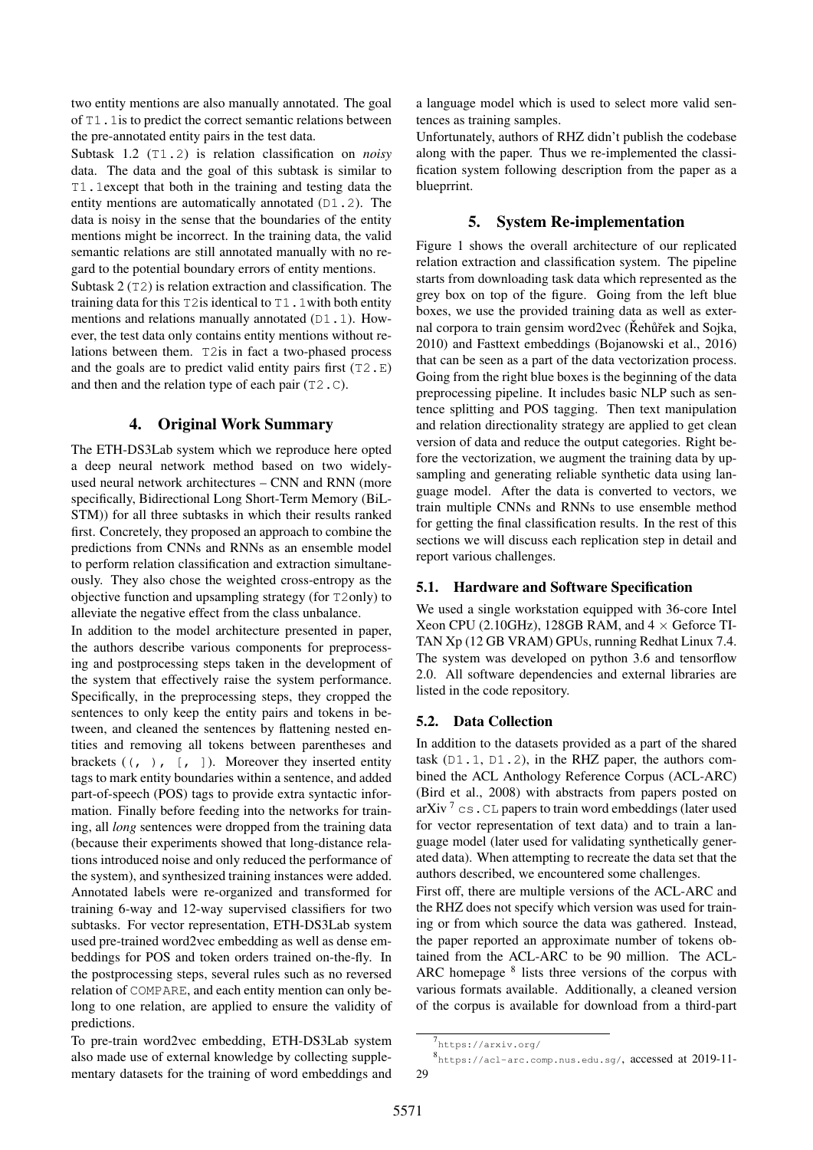two entity mentions are also manually annotated. The goal of T1.1is to predict the correct semantic relations between the pre-annotated entity pairs in the test data.

Subtask 1.2 (T1.2) is relation classification on *noisy* data. The data and the goal of this subtask is similar to T1.1except that both in the training and testing data the entity mentions are automatically annotated (D1.2). The data is noisy in the sense that the boundaries of the entity mentions might be incorrect. In the training data, the valid semantic relations are still annotated manually with no regard to the potential boundary errors of entity mentions.

Subtask 2 (T2) is relation extraction and classification. The training data for this  $T2$  is identical to  $T1$ . 1 with both entity mentions and relations manually annotated (D1.1). However, the test data only contains entity mentions without relations between them. T2is in fact a two-phased process and the goals are to predict valid entity pairs first  $(T2, E)$ and then and the relation type of each pair (T2.C).

## 4. Original Work Summary

The ETH-DS3Lab system which we reproduce here opted a deep neural network method based on two widelyused neural network architectures – CNN and RNN (more specifically, Bidirectional Long Short-Term Memory (BiL-STM)) for all three subtasks in which their results ranked first. Concretely, they proposed an approach to combine the predictions from CNNs and RNNs as an ensemble model to perform relation classification and extraction simultaneously. They also chose the weighted cross-entropy as the objective function and upsampling strategy (for T2only) to alleviate the negative effect from the class unbalance.

In addition to the model architecture presented in paper, the authors describe various components for preprocessing and postprocessing steps taken in the development of the system that effectively raise the system performance. Specifically, in the preprocessing steps, they cropped the sentences to only keep the entity pairs and tokens in between, and cleaned the sentences by flattening nested entities and removing all tokens between parentheses and brackets  $((, ) , [ , ])$ . Moreover they inserted entity tags to mark entity boundaries within a sentence, and added part-of-speech (POS) tags to provide extra syntactic information. Finally before feeding into the networks for training, all *long* sentences were dropped from the training data (because their experiments showed that long-distance relations introduced noise and only reduced the performance of the system), and synthesized training instances were added. Annotated labels were re-organized and transformed for training 6-way and 12-way supervised classifiers for two subtasks. For vector representation, ETH-DS3Lab system used pre-trained word2vec embedding as well as dense embeddings for POS and token orders trained on-the-fly. In the postprocessing steps, several rules such as no reversed relation of COMPARE, and each entity mention can only belong to one relation, are applied to ensure the validity of predictions.

To pre-train word2vec embedding, ETH-DS3Lab system also made use of external knowledge by collecting supplementary datasets for the training of word embeddings and a language model which is used to select more valid sentences as training samples.

Unfortunately, authors of RHZ didn't publish the codebase along with the paper. Thus we re-implemented the classification system following description from the paper as a blueprrint.

# 5. System Re-implementation

Figure 1 shows the overall architecture of our replicated relation extraction and classification system. The pipeline starts from downloading task data which represented as the grey box on top of the figure. Going from the left blue boxes, we use the provided training data as well as external corpora to train gensim word2vec (Rehurek and Sojka, 2010) and Fasttext embeddings (Bojanowski et al., 2016) that can be seen as a part of the data vectorization process. Going from the right blue boxes is the beginning of the data preprocessing pipeline. It includes basic NLP such as sentence splitting and POS tagging. Then text manipulation and relation directionality strategy are applied to get clean version of data and reduce the output categories. Right before the vectorization, we augment the training data by upsampling and generating reliable synthetic data using language model. After the data is converted to vectors, we train multiple CNNs and RNNs to use ensemble method for getting the final classification results. In the rest of this sections we will discuss each replication step in detail and report various challenges.

## 5.1. Hardware and Software Specification

We used a single workstation equipped with 36-core Intel Xeon CPU (2.10GHz), 128GB RAM, and  $4 \times$  Geforce TI-TAN Xp (12 GB VRAM) GPUs, running Redhat Linux 7.4. The system was developed on python 3.6 and tensorflow 2.0. All software dependencies and external libraries are listed in the code repository.

## 5.2. Data Collection

In addition to the datasets provided as a part of the shared task  $(D1.1, D1.2)$ , in the RHZ paper, the authors combined the ACL Anthology Reference Corpus (ACL-ARC) (Bird et al., 2008) with abstracts from papers posted on arXiv<sup>7</sup> cs. CL papers to train word embeddings (later used for vector representation of text data) and to train a language model (later used for validating synthetically generated data). When attempting to recreate the data set that the authors described, we encountered some challenges.

First off, there are multiple versions of the ACL-ARC and the RHZ does not specify which version was used for training or from which source the data was gathered. Instead, the paper reported an approximate number of tokens obtained from the ACL-ARC to be 90 million. The ACL-ARC homepage <sup>8</sup> lists three versions of the corpus with various formats available. Additionally, a cleaned version of the corpus is available for download from a third-part

<sup>7&</sup>lt;br>https://arxiv.org/

<sup>8</sup> https://acl-arc.comp.nus.edu.sg/, accessed at 2019-11- 29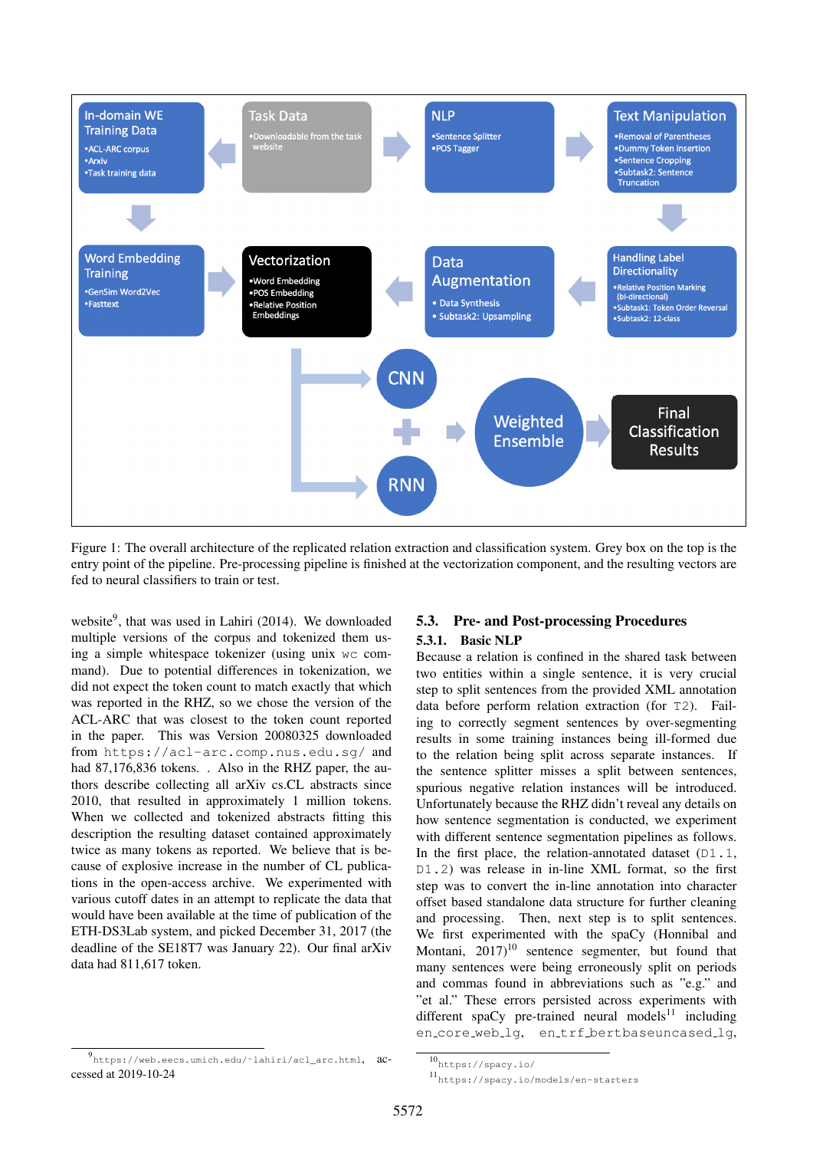

Figure 1: The overall architecture of the replicated relation extraction and classification system. Grey box on the top is the entry point of the pipeline. Pre-processing pipeline is finished at the vectorization component, and the resulting vectors are fed to neural classifiers to train or test.

website<sup>9</sup>, that was used in Lahiri (2014). We downloaded multiple versions of the corpus and tokenized them using a simple whitespace tokenizer (using unix wc command). Due to potential differences in tokenization, we did not expect the token count to match exactly that which was reported in the RHZ, so we chose the version of the ACL-ARC that was closest to the token count reported in the paper. This was Version 20080325 downloaded from https://acl-arc.comp.nus.edu.sg/ and had 87,176,836 tokens. . Also in the RHZ paper, the authors describe collecting all arXiv cs.CL abstracts since 2010, that resulted in approximately 1 million tokens. When we collected and tokenized abstracts fitting this description the resulting dataset contained approximately twice as many tokens as reported. We believe that is because of explosive increase in the number of CL publications in the open-access archive. We experimented with various cutoff dates in an attempt to replicate the data that would have been available at the time of publication of the ETH-DS3Lab system, and picked December 31, 2017 (the deadline of the SE18T7 was January 22). Our final arXiv data had 811,617 token.

#### 9 https://web.eecs.umich.edu/˜lahiri/acl\_arc.html, accessed at 2019-10-24

# 5.3. Pre- and Post-processing Procedures 5.3.1. Basic NLP

Because a relation is confined in the shared task between two entities within a single sentence, it is very crucial step to split sentences from the provided XML annotation data before perform relation extraction (for T2). Failing to correctly segment sentences by over-segmenting results in some training instances being ill-formed due to the relation being split across separate instances. If the sentence splitter misses a split between sentences, spurious negative relation instances will be introduced. Unfortunately because the RHZ didn't reveal any details on how sentence segmentation is conducted, we experiment with different sentence segmentation pipelines as follows. In the first place, the relation-annotated dataset  $(D1.1,$ D1.2) was release in in-line XML format, so the first step was to convert the in-line annotation into character offset based standalone data structure for further cleaning and processing. Then, next step is to split sentences. We first experimented with the spaCy (Honnibal and Montani,  $2017$ <sup>10</sup> sentence segmenter, but found that many sentences were being erroneously split on periods and commas found in abbreviations such as "e.g." and "et al." These errors persisted across experiments with different spaCy pre-trained neural models<sup>11</sup> including en\_core\_web\_lg, en\_trf\_bertbaseuncased\_lg,

 $10_{\rm \,https://spacy.io/}$ 

<sup>11</sup>https://spacy.io/models/en-starters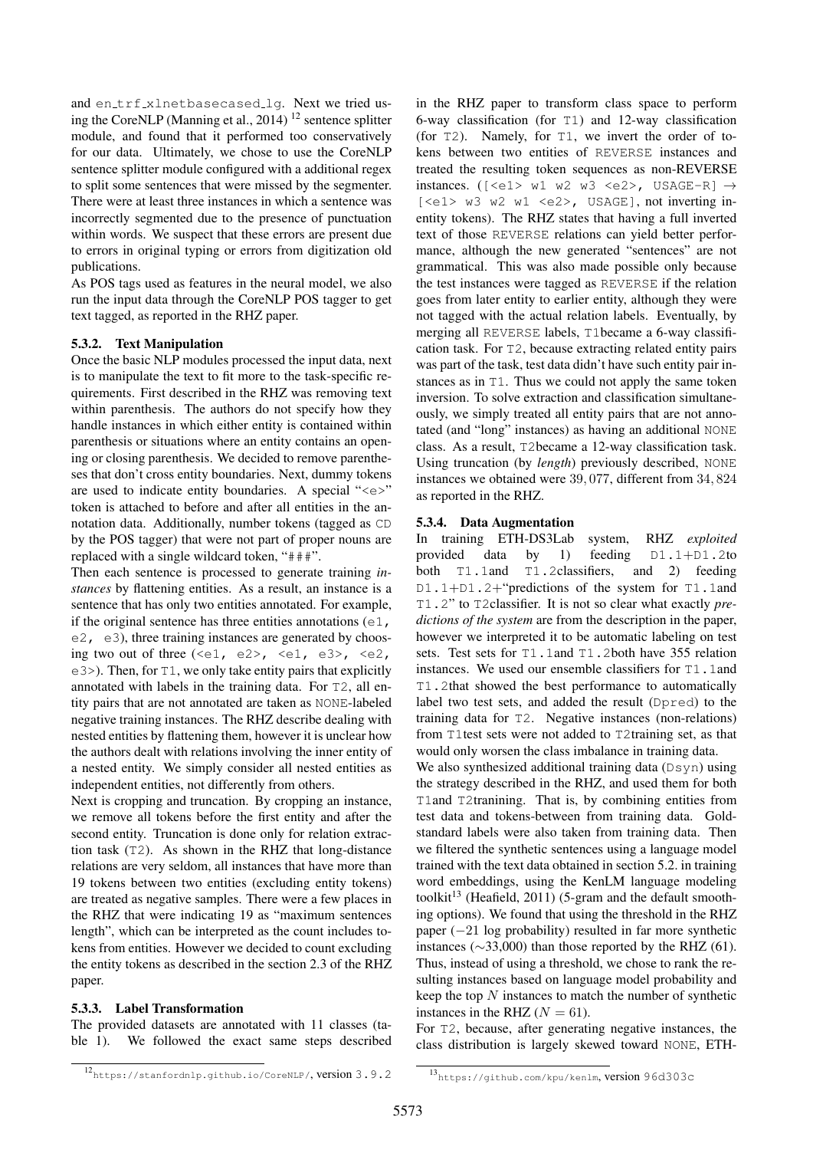and en\_trf\_xlnetbasecased\_lq. Next we tried using the CoreNLP (Manning et al., 2014)  $^{12}$  sentence splitter module, and found that it performed too conservatively for our data. Ultimately, we chose to use the CoreNLP sentence splitter module configured with a additional regex to split some sentences that were missed by the segmenter. There were at least three instances in which a sentence was incorrectly segmented due to the presence of punctuation within words. We suspect that these errors are present due to errors in original typing or errors from digitization old publications.

As POS tags used as features in the neural model, we also run the input data through the CoreNLP POS tagger to get text tagged, as reported in the RHZ paper.

#### 5.3.2. Text Manipulation

Once the basic NLP modules processed the input data, next is to manipulate the text to fit more to the task-specific requirements. First described in the RHZ was removing text within parenthesis. The authors do not specify how they handle instances in which either entity is contained within parenthesis or situations where an entity contains an opening or closing parenthesis. We decided to remove parentheses that don't cross entity boundaries. Next, dummy tokens are used to indicate entity boundaries. A special " $\ll e \ll$ " token is attached to before and after all entities in the annotation data. Additionally, number tokens (tagged as CD by the POS tagger) that were not part of proper nouns are replaced with a single wildcard token, "###".

Then each sentence is processed to generate training *instances* by flattening entities. As a result, an instance is a sentence that has only two entities annotated. For example, if the original sentence has three entities annotations  $(e_1,$ e2, e3), three training instances are generated by choosing two out of three  $(\leq e1, e2$ ,  $\leq e1, e3$ ,  $\leq e2$ ,  $e3$ ). Then, for T1, we only take entity pairs that explicitly annotated with labels in the training data. For T2, all entity pairs that are not annotated are taken as NONE-labeled negative training instances. The RHZ describe dealing with nested entities by flattening them, however it is unclear how the authors dealt with relations involving the inner entity of a nested entity. We simply consider all nested entities as independent entities, not differently from others.

Next is cropping and truncation. By cropping an instance, we remove all tokens before the first entity and after the second entity. Truncation is done only for relation extraction task (T2). As shown in the RHZ that long-distance relations are very seldom, all instances that have more than 19 tokens between two entities (excluding entity tokens) are treated as negative samples. There were a few places in the RHZ that were indicating 19 as "maximum sentences length", which can be interpreted as the count includes tokens from entities. However we decided to count excluding the entity tokens as described in the section 2.3 of the RHZ paper.

## 5.3.3. Label Transformation

The provided datasets are annotated with 11 classes (table 1). We followed the exact same steps described in the RHZ paper to transform class space to perform 6-way classification (for T1) and 12-way classification (for T2). Namely, for T1, we invert the order of tokens between two entities of REVERSE instances and treated the resulting token sequences as non-REVERSE instances. ( $[ w1 w2 w3$ , USAGE-R]  $\rightarrow$ [<e1> w3 w2 w1 <e2>, USAGE], not inverting inentity tokens). The RHZ states that having a full inverted text of those REVERSE relations can yield better performance, although the new generated "sentences" are not grammatical. This was also made possible only because the test instances were tagged as REVERSE if the relation goes from later entity to earlier entity, although they were not tagged with the actual relation labels. Eventually, by merging all REVERSE labels, T1became a 6-way classification task. For T2, because extracting related entity pairs was part of the task, test data didn't have such entity pair instances as in T1. Thus we could not apply the same token inversion. To solve extraction and classification simultaneously, we simply treated all entity pairs that are not annotated (and "long" instances) as having an additional NONE class. As a result, T2became a 12-way classification task. Using truncation (by *length*) previously described, NONE instances we obtained were 39, 077, different from 34, 824 as reported in the RHZ.

#### 5.3.4. Data Augmentation

In training ETH-DS3Lab system, RHZ *exploited* provided data by 1) feeding D1.1+D1.2to both T1.1and T1.2classifiers, and 2) feeding D1.1+D1.2+"predictions of the system for T1.1and T1.2" to T2classifier. It is not so clear what exactly *predictions of the system* are from the description in the paper, however we interpreted it to be automatic labeling on test sets. Test sets for T1.1and T1.2both have 355 relation instances. We used our ensemble classifiers for T1.1and T1.2that showed the best performance to automatically label two test sets, and added the result (Dpred) to the training data for T2. Negative instances (non-relations) from T1test sets were not added to T2training set, as that would only worsen the class imbalance in training data.

We also synthesized additional training data (Dsyn) using the strategy described in the RHZ, and used them for both T1and T2tranining. That is, by combining entities from test data and tokens-between from training data. Goldstandard labels were also taken from training data. Then we filtered the synthetic sentences using a language model trained with the text data obtained in section 5.2. in training word embeddings, using the KenLM language modeling toolkit<sup>13</sup> (Heafield, 2011) (5-gram and the default smoothing options). We found that using the threshold in the RHZ paper (−21 log probability) resulted in far more synthetic instances ( $\sim$ 33,000) than those reported by the RHZ (61). Thus, instead of using a threshold, we chose to rank the resulting instances based on language model probability and keep the top  $N$  instances to match the number of synthetic instances in the RHZ ( $N = 61$ ).

For T2, because, after generating negative instances, the class distribution is largely skewed toward NONE, ETH-

<sup>12</sup>https://stanfordnlp.github.io/CoreNLP/, version 3.9.2

<sup>13</sup>https://github.com/kpu/kenlm, version 96d303c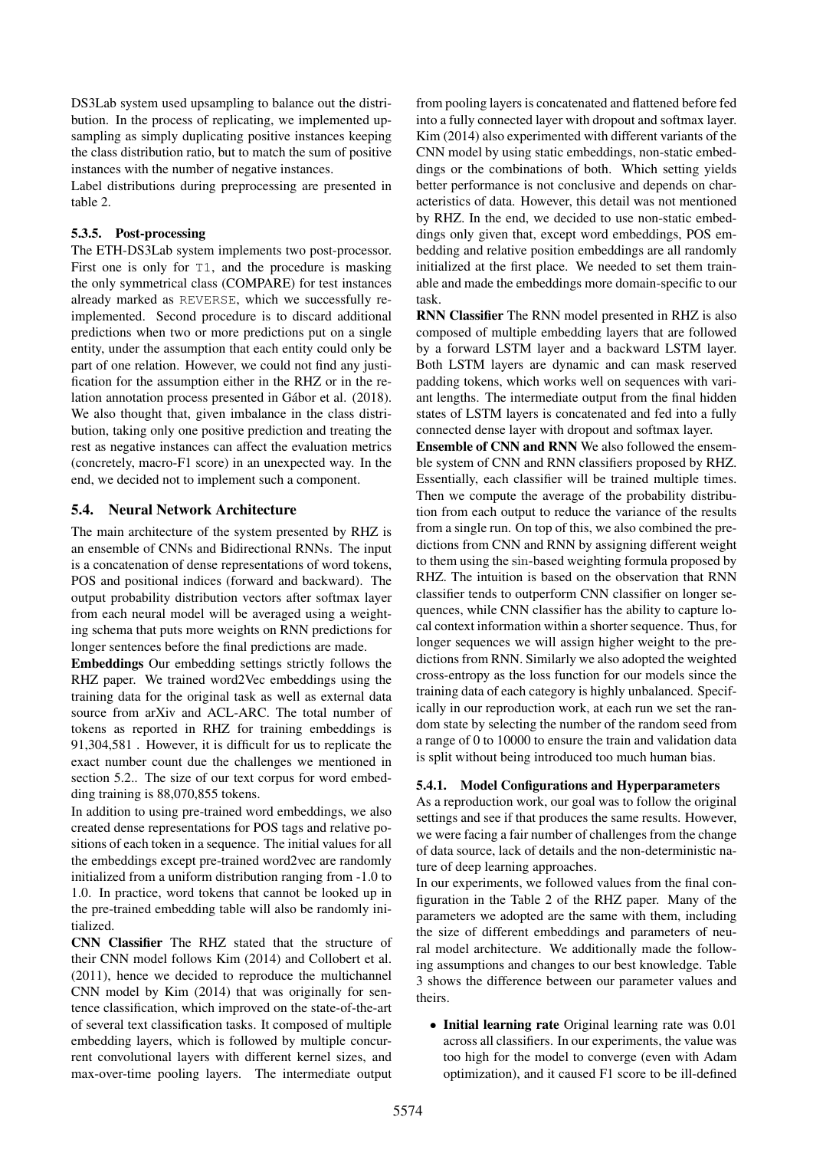DS3Lab system used upsampling to balance out the distribution. In the process of replicating, we implemented upsampling as simply duplicating positive instances keeping the class distribution ratio, but to match the sum of positive instances with the number of negative instances.

Label distributions during preprocessing are presented in table 2.

## 5.3.5. Post-processing

The ETH-DS3Lab system implements two post-processor. First one is only for T1, and the procedure is masking the only symmetrical class (COMPARE) for test instances already marked as REVERSE, which we successfully reimplemented. Second procedure is to discard additional predictions when two or more predictions put on a single entity, under the assumption that each entity could only be part of one relation. However, we could not find any justification for the assumption either in the RHZ or in the relation annotation process presented in Gábor et al. (2018). We also thought that, given imbalance in the class distribution, taking only one positive prediction and treating the rest as negative instances can affect the evaluation metrics (concretely, macro-F1 score) in an unexpected way. In the end, we decided not to implement such a component.

## 5.4. Neural Network Architecture

The main architecture of the system presented by RHZ is an ensemble of CNNs and Bidirectional RNNs. The input is a concatenation of dense representations of word tokens, POS and positional indices (forward and backward). The output probability distribution vectors after softmax layer from each neural model will be averaged using a weighting schema that puts more weights on RNN predictions for longer sentences before the final predictions are made.

Embeddings Our embedding settings strictly follows the RHZ paper. We trained word2Vec embeddings using the training data for the original task as well as external data source from arXiv and ACL-ARC. The total number of tokens as reported in RHZ for training embeddings is 91,304,581 . However, it is difficult for us to replicate the exact number count due the challenges we mentioned in section 5.2.. The size of our text corpus for word embedding training is 88,070,855 tokens.

In addition to using pre-trained word embeddings, we also created dense representations for POS tags and relative positions of each token in a sequence. The initial values for all the embeddings except pre-trained word2vec are randomly initialized from a uniform distribution ranging from -1.0 to 1.0. In practice, word tokens that cannot be looked up in the pre-trained embedding table will also be randomly initialized.

CNN Classifier The RHZ stated that the structure of their CNN model follows Kim (2014) and Collobert et al. (2011), hence we decided to reproduce the multichannel CNN model by Kim (2014) that was originally for sentence classification, which improved on the state-of-the-art of several text classification tasks. It composed of multiple embedding layers, which is followed by multiple concurrent convolutional layers with different kernel sizes, and max-over-time pooling layers. The intermediate output from pooling layers is concatenated and flattened before fed into a fully connected layer with dropout and softmax layer. Kim (2014) also experimented with different variants of the CNN model by using static embeddings, non-static embeddings or the combinations of both. Which setting yields better performance is not conclusive and depends on characteristics of data. However, this detail was not mentioned by RHZ. In the end, we decided to use non-static embeddings only given that, except word embeddings, POS embedding and relative position embeddings are all randomly initialized at the first place. We needed to set them trainable and made the embeddings more domain-specific to our task.

RNN Classifier The RNN model presented in RHZ is also composed of multiple embedding layers that are followed by a forward LSTM layer and a backward LSTM layer. Both LSTM layers are dynamic and can mask reserved padding tokens, which works well on sequences with variant lengths. The intermediate output from the final hidden states of LSTM layers is concatenated and fed into a fully connected dense layer with dropout and softmax layer.

Ensemble of CNN and RNN We also followed the ensemble system of CNN and RNN classifiers proposed by RHZ. Essentially, each classifier will be trained multiple times. Then we compute the average of the probability distribution from each output to reduce the variance of the results from a single run. On top of this, we also combined the predictions from CNN and RNN by assigning different weight to them using the sin-based weighting formula proposed by RHZ. The intuition is based on the observation that RNN classifier tends to outperform CNN classifier on longer sequences, while CNN classifier has the ability to capture local context information within a shorter sequence. Thus, for longer sequences we will assign higher weight to the predictions from RNN. Similarly we also adopted the weighted cross-entropy as the loss function for our models since the training data of each category is highly unbalanced. Specifically in our reproduction work, at each run we set the random state by selecting the number of the random seed from a range of 0 to 10000 to ensure the train and validation data is split without being introduced too much human bias.

## 5.4.1. Model Configurations and Hyperparameters

As a reproduction work, our goal was to follow the original settings and see if that produces the same results. However, we were facing a fair number of challenges from the change of data source, lack of details and the non-deterministic nature of deep learning approaches.

In our experiments, we followed values from the final configuration in the Table 2 of the RHZ paper. Many of the parameters we adopted are the same with them, including the size of different embeddings and parameters of neural model architecture. We additionally made the following assumptions and changes to our best knowledge. Table 3 shows the difference between our parameter values and theirs.

• Initial learning rate Original learning rate was 0.01 across all classifiers. In our experiments, the value was too high for the model to converge (even with Adam optimization), and it caused F1 score to be ill-defined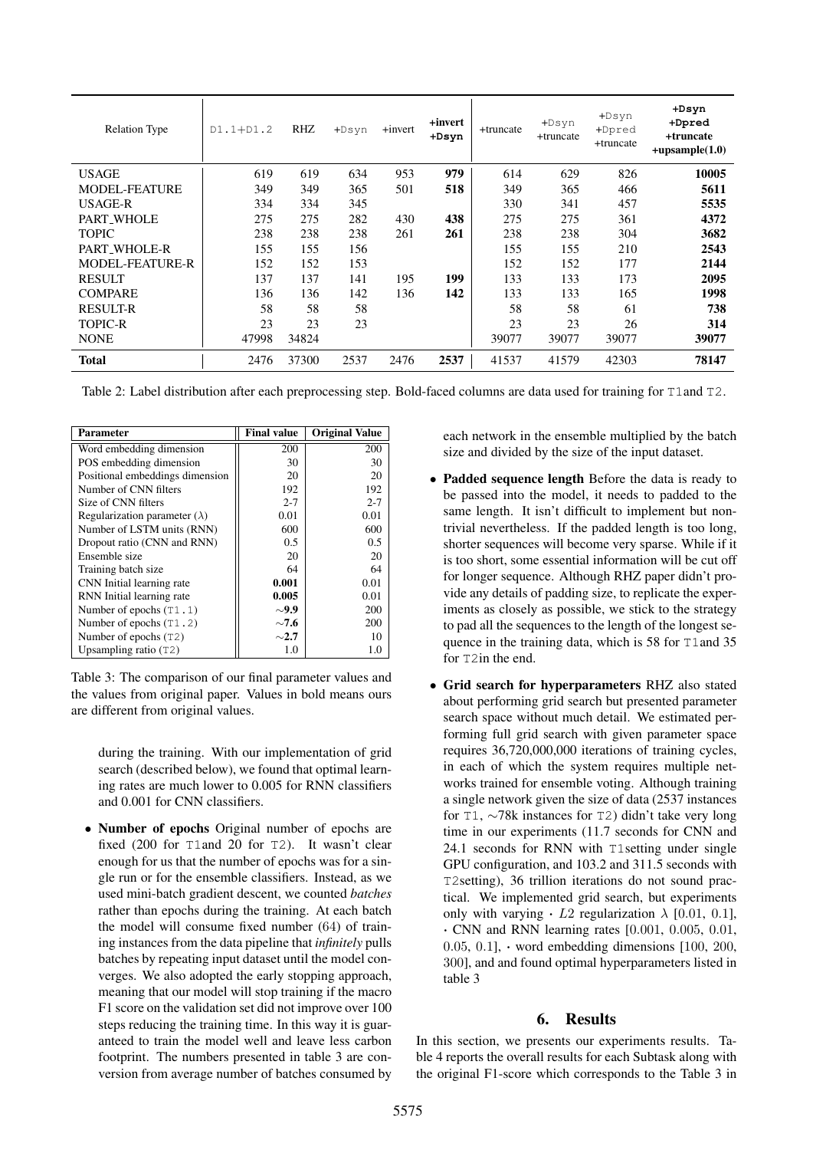| <b>Relation Type</b>   | $D1.1 + D1.2$ | RHZ.  | $+$ Dsyn | +invert | +invert<br>$+$ Dsyn | +truncate | $+$ Dsyn<br>+truncate | $+$ Dsyn<br>+Dpred<br>+truncate | $+$ Dsyn<br>+Dpred<br>+truncate<br>$+upsample(1.0)$ |
|------------------------|---------------|-------|----------|---------|---------------------|-----------|-----------------------|---------------------------------|-----------------------------------------------------|
| <b>USAGE</b>           | 619           | 619   | 634      | 953     | 979                 | 614       | 629                   | 826                             | 10005                                               |
| <b>MODEL-FEATURE</b>   | 349           | 349   | 365      | 501     | 518                 | 349       | 365                   | 466                             | 5611                                                |
| USAGE-R                | 334           | 334   | 345      |         |                     | 330       | 341                   | 457                             | 5535                                                |
| PART WHOLE             | 275           | 275   | 282      | 430     | 438                 | 275       | 275                   | 361                             | 4372                                                |
| <b>TOPIC</b>           | 238           | 238   | 238      | 261     | 261                 | 238       | 238                   | 304                             | 3682                                                |
| PART_WHOLE-R           | 155           | 155   | 156      |         |                     | 155       | 155                   | 210                             | 2543                                                |
| <b>MODEL-FEATURE-R</b> | 152           | 152   | 153      |         |                     | 152       | 152                   | 177                             | 2144                                                |
| <b>RESULT</b>          | 137           | 137   | 141      | 195     | 199                 | 133       | 133                   | 173                             | 2095                                                |
| <b>COMPARE</b>         | 136           | 136   | 142      | 136     | 142                 | 133       | 133                   | 165                             | 1998                                                |
| RESULT-R               | 58            | 58    | 58       |         |                     | 58        | 58                    | 61                              | 738                                                 |
| <b>TOPIC-R</b>         | 23            | 23    | 23       |         |                     | 23        | 23                    | 26                              | 314                                                 |
| <b>NONE</b>            | 47998         | 34824 |          |         |                     | 39077     | 39077                 | 39077                           | 39077                                               |
| <b>Total</b>           | 2476          | 37300 | 2537     | 2476    | 2537                | 41537     | 41579                 | 42303                           | 78147                                               |

Table 2: Label distribution after each preprocessing step. Bold-faced columns are data used for training for T1and T2.

| Parameter                            | <b>Final value</b> | <b>Original Value</b> |
|--------------------------------------|--------------------|-----------------------|
| Word embedding dimension             | 200                | 200                   |
| POS embedding dimension              | 30                 | 30                    |
| Positional embeddings dimension      | 20                 | 20                    |
| Number of CNN filters                | 192                | 192                   |
| Size of CNN filters                  | $2 - 7$            | $2 - 7$               |
| Regularization parameter $(\lambda)$ | 0.01               | 0.01                  |
| Number of LSTM units (RNN)           | 600                | 600                   |
| Dropout ratio (CNN and RNN)          | 0.5                | 0.5                   |
| Ensemble size                        | 20                 | 20                    |
| Training batch size                  | 64                 | 64                    |
| CNN Initial learning rate            | 0.001              | 0.01                  |
| RNN Initial learning rate            | 0.005              | 0.01                  |
| Number of epochs $(T1.1)$            | $\sim$ 9.9         | 200                   |
| Number of epochs (T1.2)              | $\sim$ 7.6         | 200                   |
| Number of epochs (T2)                | $\sim$ 2.7         | 10                    |
| Upsampling ratio $(T2)$              | 1.0                | 1.0                   |

Table 3: The comparison of our final parameter values and the values from original paper. Values in bold means ours are different from original values.

during the training. With our implementation of grid search (described below), we found that optimal learning rates are much lower to 0.005 for RNN classifiers and 0.001 for CNN classifiers.

• Number of epochs Original number of epochs are fixed (200 for T1and 20 for T2). It wasn't clear enough for us that the number of epochs was for a single run or for the ensemble classifiers. Instead, as we used mini-batch gradient descent, we counted *batches* rather than epochs during the training. At each batch the model will consume fixed number (64) of training instances from the data pipeline that *infinitely* pulls batches by repeating input dataset until the model converges. We also adopted the early stopping approach, meaning that our model will stop training if the macro F1 score on the validation set did not improve over 100 steps reducing the training time. In this way it is guaranteed to train the model well and leave less carbon footprint. The numbers presented in table 3 are conversion from average number of batches consumed by

each network in the ensemble multiplied by the batch size and divided by the size of the input dataset.

- Padded sequence length Before the data is ready to be passed into the model, it needs to padded to the same length. It isn't difficult to implement but nontrivial nevertheless. If the padded length is too long, shorter sequences will become very sparse. While if it is too short, some essential information will be cut off for longer sequence. Although RHZ paper didn't provide any details of padding size, to replicate the experiments as closely as possible, we stick to the strategy to pad all the sequences to the length of the longest sequence in the training data, which is 58 for T1and 35 for T2in the end.
- Grid search for hyperparameters RHZ also stated about performing grid search but presented parameter search space without much detail. We estimated performing full grid search with given parameter space requires 36,720,000,000 iterations of training cycles, in each of which the system requires multiple networks trained for ensemble voting. Although training a single network given the size of data (2537 instances for T1, ∼78k instances for T2) didn't take very long time in our experiments (11.7 seconds for CNN and 24.1 seconds for RNN with T1setting under single GPU configuration, and 103.2 and 311.5 seconds with T2setting), 36 trillion iterations do not sound practical. We implemented grid search, but experiments only with varying  $\cdot$  L2 regularization  $\lambda$  [0.01, 0.1], · CNN and RNN learning rates [0.001, 0.005, 0.01, 0.05, 0.1],  $\cdot$  word embedding dimensions [100, 200, 300], and and found optimal hyperparameters listed in table 3

## 6. Results

In this section, we presents our experiments results. Table 4 reports the overall results for each Subtask along with the original F1-score which corresponds to the Table 3 in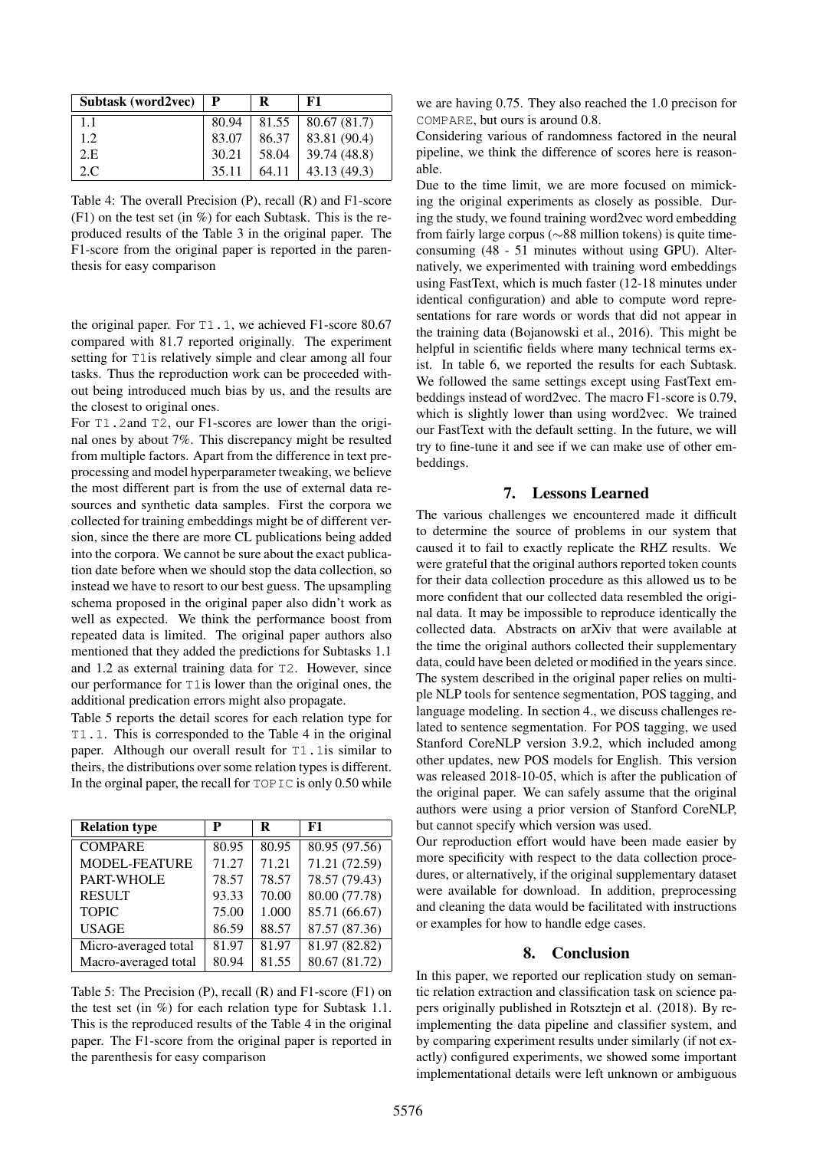| Subtask (word2vec) | P     | R     | F1           |
|--------------------|-------|-------|--------------|
| 1.1                | 80.94 | 81.55 | 80.67 (81.7) |
| 1.2                | 83.07 | 86.37 | 83.81 (90.4) |
| 2.E                | 30.21 | 58.04 | 39.74 (48.8) |
| 2.C.               | 35.11 | 64.11 | 43.13 (49.3) |

Table 4: The overall Precision (P), recall (R) and F1-score  $(F1)$  on the test set (in %) for each Subtask. This is the reproduced results of the Table 3 in the original paper. The F1-score from the original paper is reported in the parenthesis for easy comparison

the original paper. For T1.1, we achieved F1-score 80.67 compared with 81.7 reported originally. The experiment setting for T1is relatively simple and clear among all four tasks. Thus the reproduction work can be proceeded without being introduced much bias by us, and the results are the closest to original ones.

For T1.2and T2, our F1-scores are lower than the original ones by about 7%. This discrepancy might be resulted from multiple factors. Apart from the difference in text preprocessing and model hyperparameter tweaking, we believe the most different part is from the use of external data resources and synthetic data samples. First the corpora we collected for training embeddings might be of different version, since the there are more CL publications being added into the corpora. We cannot be sure about the exact publication date before when we should stop the data collection, so instead we have to resort to our best guess. The upsampling schema proposed in the original paper also didn't work as well as expected. We think the performance boost from repeated data is limited. The original paper authors also mentioned that they added the predictions for Subtasks 1.1 and 1.2 as external training data for T2. However, since our performance for T1is lower than the original ones, the additional predication errors might also propagate.

Table 5 reports the detail scores for each relation type for T1.1. This is corresponded to the Table 4 in the original paper. Although our overall result for T1.1is similar to theirs, the distributions over some relation types is different. In the orginal paper, the recall for TOPIC is only 0.50 while

| <b>Relation type</b> | P     | R     | F1            |
|----------------------|-------|-------|---------------|
| <b>COMPARE</b>       | 80.95 | 80.95 | 80.95 (97.56) |
| <b>MODEL-FEATURE</b> | 71.27 | 71.21 | 71.21 (72.59) |
| <b>PART-WHOLE</b>    | 78.57 | 78.57 | 78.57 (79.43) |
| <b>RESULT</b>        | 93.33 | 70.00 | 80.00 (77.78) |
| <b>TOPIC</b>         | 75.00 | 1.000 | 85.71 (66.67) |
| <b>USAGE</b>         | 86.59 | 88.57 | 87.57 (87.36) |
| Micro-averaged total | 81.97 | 81.97 | 81.97 (82.82) |
| Macro-averaged total | 80.94 | 81.55 | 80.67 (81.72) |

Table 5: The Precision (P), recall (R) and F1-score (F1) on the test set (in %) for each relation type for Subtask 1.1. This is the reproduced results of the Table 4 in the original paper. The F1-score from the original paper is reported in the parenthesis for easy comparison

we are having 0.75. They also reached the 1.0 precison for COMPARE, but ours is around 0.8.

Considering various of randomness factored in the neural pipeline, we think the difference of scores here is reasonable.

Due to the time limit, we are more focused on mimicking the original experiments as closely as possible. During the study, we found training word2vec word embedding from fairly large corpus (∼88 million tokens) is quite timeconsuming (48 - 51 minutes without using GPU). Alternatively, we experimented with training word embeddings using FastText, which is much faster (12-18 minutes under identical configuration) and able to compute word representations for rare words or words that did not appear in the training data (Bojanowski et al., 2016). This might be helpful in scientific fields where many technical terms exist. In table 6, we reported the results for each Subtask. We followed the same settings except using FastText embeddings instead of word2vec. The macro F1-score is 0.79, which is slightly lower than using word2vec. We trained our FastText with the default setting. In the future, we will try to fine-tune it and see if we can make use of other embeddings.

#### 7. Lessons Learned

The various challenges we encountered made it difficult to determine the source of problems in our system that caused it to fail to exactly replicate the RHZ results. We were grateful that the original authors reported token counts for their data collection procedure as this allowed us to be more confident that our collected data resembled the original data. It may be impossible to reproduce identically the collected data. Abstracts on arXiv that were available at the time the original authors collected their supplementary data, could have been deleted or modified in the years since. The system described in the original paper relies on multiple NLP tools for sentence segmentation, POS tagging, and language modeling. In section 4., we discuss challenges related to sentence segmentation. For POS tagging, we used Stanford CoreNLP version 3.9.2, which included among other updates, new POS models for English. This version was released 2018-10-05, which is after the publication of the original paper. We can safely assume that the original authors were using a prior version of Stanford CoreNLP, but cannot specify which version was used.

Our reproduction effort would have been made easier by more specificity with respect to the data collection procedures, or alternatively, if the original supplementary dataset were available for download. In addition, preprocessing and cleaning the data would be facilitated with instructions or examples for how to handle edge cases.

## 8. Conclusion

In this paper, we reported our replication study on semantic relation extraction and classification task on science papers originally published in Rotsztejn et al. (2018). By reimplementing the data pipeline and classifier system, and by comparing experiment results under similarly (if not exactly) configured experiments, we showed some important implementational details were left unknown or ambiguous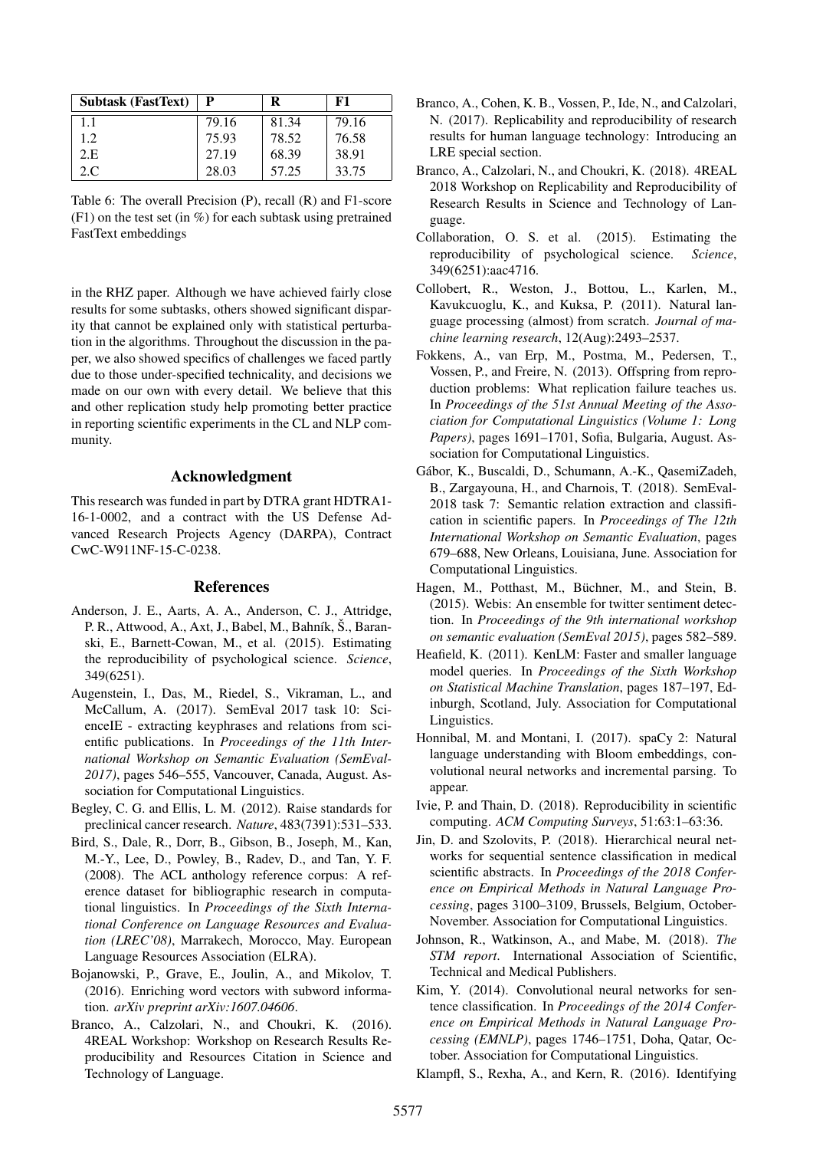| <b>Subtask (FastText)</b> | P     | R     | F1    |
|---------------------------|-------|-------|-------|
| 1.1                       | 79.16 | 81.34 | 79.16 |
| 1.2.                      | 75.93 | 78.52 | 76.58 |
| 2.E                       | 27.19 | 68.39 | 38.91 |
| 2.C                       | 28.03 | 57.25 | 33.75 |

Table 6: The overall Precision (P), recall (R) and F1-score  $(F1)$  on the test set (in %) for each subtask using pretrained FastText embeddings

in the RHZ paper. Although we have achieved fairly close results for some subtasks, others showed significant disparity that cannot be explained only with statistical perturbation in the algorithms. Throughout the discussion in the paper, we also showed specifics of challenges we faced partly due to those under-specified technicality, and decisions we made on our own with every detail. We believe that this and other replication study help promoting better practice in reporting scientific experiments in the CL and NLP community.

#### Acknowledgment

This research was funded in part by DTRA grant HDTRA1- 16-1-0002, and a contract with the US Defense Advanced Research Projects Agency (DARPA), Contract CwC-W911NF-15-C-0238.

#### References

- Anderson, J. E., Aarts, A. A., Anderson, C. J., Attridge, P. R., Attwood, A., Axt, J., Babel, M., Bahník, Š., Baranski, E., Barnett-Cowan, M., et al. (2015). Estimating the reproducibility of psychological science. *Science*, 349(6251).
- Augenstein, I., Das, M., Riedel, S., Vikraman, L., and McCallum, A. (2017). SemEval 2017 task 10: ScienceIE - extracting keyphrases and relations from scientific publications. In *Proceedings of the 11th International Workshop on Semantic Evaluation (SemEval-2017)*, pages 546–555, Vancouver, Canada, August. Association for Computational Linguistics.
- Begley, C. G. and Ellis, L. M. (2012). Raise standards for preclinical cancer research. *Nature*, 483(7391):531–533.
- Bird, S., Dale, R., Dorr, B., Gibson, B., Joseph, M., Kan, M.-Y., Lee, D., Powley, B., Radev, D., and Tan, Y. F. (2008). The ACL anthology reference corpus: A reference dataset for bibliographic research in computational linguistics. In *Proceedings of the Sixth International Conference on Language Resources and Evaluation (LREC'08)*, Marrakech, Morocco, May. European Language Resources Association (ELRA).
- Bojanowski, P., Grave, E., Joulin, A., and Mikolov, T. (2016). Enriching word vectors with subword information. *arXiv preprint arXiv:1607.04606*.
- Branco, A., Calzolari, N., and Choukri, K. (2016). 4REAL Workshop: Workshop on Research Results Reproducibility and Resources Citation in Science and Technology of Language.
- Branco, A., Cohen, K. B., Vossen, P., Ide, N., and Calzolari, N. (2017). Replicability and reproducibility of research results for human language technology: Introducing an LRE special section.
- Branco, A., Calzolari, N., and Choukri, K. (2018). 4REAL 2018 Workshop on Replicability and Reproducibility of Research Results in Science and Technology of Language.
- Collaboration, O. S. et al. (2015). Estimating the reproducibility of psychological science. *Science*, 349(6251):aac4716.
- Collobert, R., Weston, J., Bottou, L., Karlen, M., Kavukcuoglu, K., and Kuksa, P. (2011). Natural language processing (almost) from scratch. *Journal of machine learning research*, 12(Aug):2493–2537.
- Fokkens, A., van Erp, M., Postma, M., Pedersen, T., Vossen, P., and Freire, N. (2013). Offspring from reproduction problems: What replication failure teaches us. In *Proceedings of the 51st Annual Meeting of the Association for Computational Linguistics (Volume 1: Long Papers)*, pages 1691–1701, Sofia, Bulgaria, August. Association for Computational Linguistics.
- Gabor, K., Buscaldi, D., Schumann, A.-K., QasemiZadeh, ´ B., Zargayouna, H., and Charnois, T. (2018). SemEval-2018 task 7: Semantic relation extraction and classification in scientific papers. In *Proceedings of The 12th International Workshop on Semantic Evaluation*, pages 679–688, New Orleans, Louisiana, June. Association for Computational Linguistics.
- Hagen, M., Potthast, M., Büchner, M., and Stein, B. (2015). Webis: An ensemble for twitter sentiment detection. In *Proceedings of the 9th international workshop on semantic evaluation (SemEval 2015)*, pages 582–589.
- Heafield, K. (2011). KenLM: Faster and smaller language model queries. In *Proceedings of the Sixth Workshop on Statistical Machine Translation*, pages 187–197, Edinburgh, Scotland, July. Association for Computational Linguistics.
- Honnibal, M. and Montani, I. (2017). spaCy 2: Natural language understanding with Bloom embeddings, convolutional neural networks and incremental parsing. To appear.
- Ivie, P. and Thain, D. (2018). Reproducibility in scientific computing. *ACM Computing Surveys*, 51:63:1–63:36.
- Jin, D. and Szolovits, P. (2018). Hierarchical neural networks for sequential sentence classification in medical scientific abstracts. In *Proceedings of the 2018 Conference on Empirical Methods in Natural Language Processing*, pages 3100–3109, Brussels, Belgium, October-November. Association for Computational Linguistics.
- Johnson, R., Watkinson, A., and Mabe, M. (2018). *The STM report*. International Association of Scientific, Technical and Medical Publishers.
- Kim, Y. (2014). Convolutional neural networks for sentence classification. In *Proceedings of the 2014 Conference on Empirical Methods in Natural Language Processing (EMNLP)*, pages 1746–1751, Doha, Qatar, October. Association for Computational Linguistics.

Klampfl, S., Rexha, A., and Kern, R. (2016). Identifying